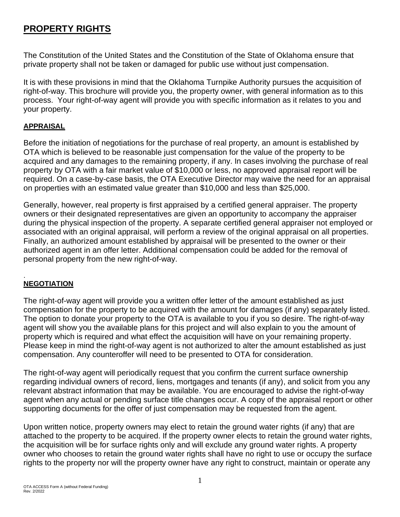# **PROPERTY RIGHTS**

The Constitution of the United States and the Constitution of the State of Oklahoma ensure that private property shall not be taken or damaged for public use without just compensation.

It is with these provisions in mind that the Oklahoma Turnpike Authority pursues the acquisition of right-of-way. This brochure will provide you, the property owner, with general information as to this process. Your right-of-way agent will provide you with specific information as it relates to you and your property.

## **APPRAISAL**

Before the initiation of negotiations for the purchase of real property, an amount is established by OTA which is believed to be reasonable just compensation for the value of the property to be acquired and any damages to the remaining property, if any. In cases involving the purchase of real property by OTA with a fair market value of \$10,000 or less, no approved appraisal report will be required. On a case-by-case basis, the OTA Executive Director may waive the need for an appraisal on properties with an estimated value greater than \$10,000 and less than \$25,000.

Generally, however, real property is first appraised by a certified general appraiser. The property owners or their designated representatives are given an opportunity to accompany the appraiser during the physical inspection of the property. A separate certified general appraiser not employed or associated with an original appraisal, will perform a review of the original appraisal on all properties. Finally, an authorized amount established by appraisal will be presented to the owner or their authorized agent in an offer letter. Additional compensation could be added for the removal of personal property from the new right-of-way.

#### . **NEGOTIATION**

The right-of-way agent will provide you a written offer letter of the amount established as just compensation for the property to be acquired with the amount for damages (if any) separately listed. The option to donate your property to the OTA is available to you if you so desire. The right-of-way agent will show you the available plans for this project and will also explain to you the amount of property which is required and what effect the acquisition will have on your remaining property. Please keep in mind the right-of-way agent is not authorized to alter the amount established as just compensation. Any counteroffer will need to be presented to OTA for consideration.

The right-of-way agent will periodically request that you confirm the current surface ownership regarding individual owners of record, liens, mortgages and tenants (if any), and solicit from you any relevant abstract information that may be available. You are encouraged to advise the right-of-way agent when any actual or pending surface title changes occur. A copy of the appraisal report or other supporting documents for the offer of just compensation may be requested from the agent.

Upon written notice, property owners may elect to retain the ground water rights (if any) that are attached to the property to be acquired. If the property owner elects to retain the ground water rights, the acquisition will be for surface rights only and will exclude any ground water rights. A property owner who chooses to retain the ground water rights shall have no right to use or occupy the surface rights to the property nor will the property owner have any right to construct, maintain or operate any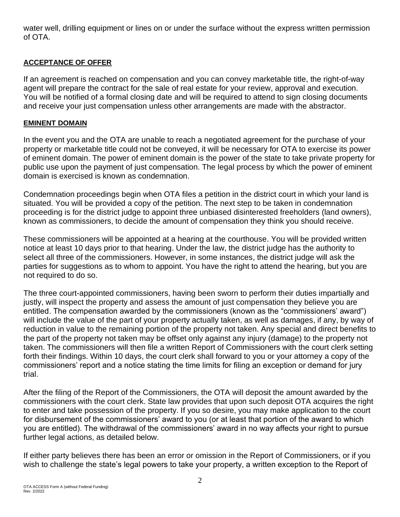water well, drilling equipment or lines on or under the surface without the express written permission of OTA.

### **ACCEPTANCE OF OFFER**

If an agreement is reached on compensation and you can convey marketable title, the right-of-way agent will prepare the contract for the sale of real estate for your review, approval and execution. You will be notified of a formal closing date and will be required to attend to sign closing documents and receive your just compensation unless other arrangements are made with the abstractor.

### **EMINENT DOMAIN**

In the event you and the OTA are unable to reach a negotiated agreement for the purchase of your property or marketable title could not be conveyed, it will be necessary for OTA to exercise its power of eminent domain. The power of eminent domain is the power of the state to take private property for public use upon the payment of just compensation. The legal process by which the power of eminent domain is exercised is known as condemnation.

Condemnation proceedings begin when OTA files a petition in the district court in which your land is situated. You will be provided a copy of the petition. The next step to be taken in condemnation proceeding is for the district judge to appoint three unbiased disinterested freeholders (land owners), known as commissioners, to decide the amount of compensation they think you should receive.

These commissioners will be appointed at a hearing at the courthouse. You will be provided written notice at least 10 days prior to that hearing. Under the law, the district judge has the authority to select all three of the commissioners. However, in some instances, the district judge will ask the parties for suggestions as to whom to appoint. You have the right to attend the hearing, but you are not required to do so.

The three court-appointed commissioners, having been sworn to perform their duties impartially and justly, will inspect the property and assess the amount of just compensation they believe you are entitled. The compensation awarded by the commissioners (known as the "commissioners' award") will include the value of the part of your property actually taken, as well as damages, if any, by way of reduction in value to the remaining portion of the property not taken. Any special and direct benefits to the part of the property not taken may be offset only against any injury (damage) to the property not taken. The commissioners will then file a written Report of Commissioners with the court clerk setting forth their findings. Within 10 days, the court clerk shall forward to you or your attorney a copy of the commissioners' report and a notice stating the time limits for filing an exception or demand for jury trial.

After the filing of the Report of the Commissioners, the OTA will deposit the amount awarded by the commissioners with the court clerk. State law provides that upon such deposit OTA acquires the right to enter and take possession of the property. If you so desire, you may make application to the court for disbursement of the commissioners' award to you (or at least that portion of the award to which you are entitled). The withdrawal of the commissioners' award in no way affects your right to pursue further legal actions, as detailed below.

If either party believes there has been an error or omission in the Report of Commissioners, or if you wish to challenge the state's legal powers to take your property, a written exception to the Report of